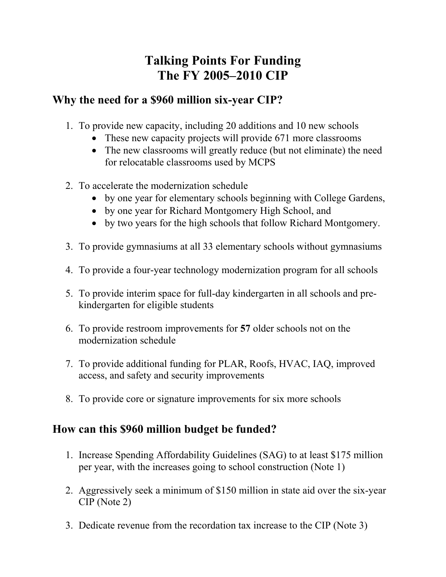## **Talking Points For Funding The FY 2005–2010 CIP**

## **Why the need for a \$960 million six-year CIP?**

- 1. To provide new capacity, including 20 additions and 10 new schools
	- These new capacity projects will provide 671 more classrooms
	- The new classrooms will greatly reduce (but not eliminate) the need for relocatable classrooms used by MCPS
- 2. To accelerate the modernization schedule
	- by one year for elementary schools beginning with College Gardens,
	- by one year for Richard Montgomery High School, and
	- by two years for the high schools that follow Richard Montgomery.
- 3. To provide gymnasiums at all 33 elementary schools without gymnasiums
- 4. To provide a four-year technology modernization program for all schools
- 5. To provide interim space for full-day kindergarten in all schools and prekindergarten for eligible students
- 6. To provide restroom improvements for **57** older schools not on the modernization schedule
- 7. To provide additional funding for PLAR, Roofs, HVAC, IAQ, improved access, and safety and security improvements
- 8. To provide core or signature improvements for six more schools

## **How can this \$960 million budget be funded?**

- 1. Increase Spending Affordability Guidelines (SAG) to at least \$175 million per year, with the increases going to school construction (Note 1)
- 2. Aggressively seek a minimum of \$150 million in state aid over the six-year CIP (Note 2)
- 3. Dedicate revenue from the recordation tax increase to the CIP (Note 3)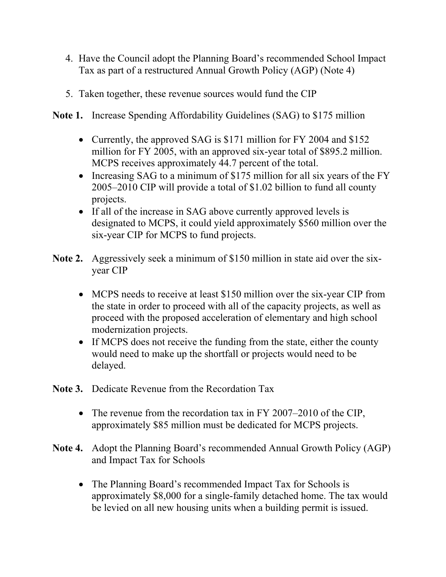- 4. Have the Council adopt the Planning Board's recommended School Impact Tax as part of a restructured Annual Growth Policy (AGP) (Note 4)
- 5. Taken together, these revenue sources would fund the CIP
- **Note 1.** Increase Spending Affordability Guidelines (SAG) to \$175 million
	- Currently, the approved SAG is \$171 million for FY 2004 and \$152 million for FY 2005, with an approved six-year total of \$895.2 million. MCPS receives approximately 44.7 percent of the total.
	- Increasing SAG to a minimum of \$175 million for all six years of the FY 2005–2010 CIP will provide a total of \$1.02 billion to fund all county projects.
	- If all of the increase in SAG above currently approved levels is designated to MCPS, it could yield approximately \$560 million over the six-year CIP for MCPS to fund projects.
- **Note 2.** Aggressively seek a minimum of \$150 million in state aid over the sixyear CIP
	- MCPS needs to receive at least \$150 million over the six-year CIP from the state in order to proceed with all of the capacity projects, as well as proceed with the proposed acceleration of elementary and high school modernization projects.
	- If MCPS does not receive the funding from the state, either the county would need to make up the shortfall or projects would need to be delayed.
- **Note 3.** Dedicate Revenue from the Recordation Tax
	- The revenue from the recordation tax in FY 2007–2010 of the CIP, approximately \$85 million must be dedicated for MCPS projects.
- **Note 4.** Adopt the Planning Board's recommended Annual Growth Policy (AGP) and Impact Tax for Schools
	- The Planning Board's recommended Impact Tax for Schools is approximately \$8,000 for a single-family detached home. The tax would be levied on all new housing units when a building permit is issued.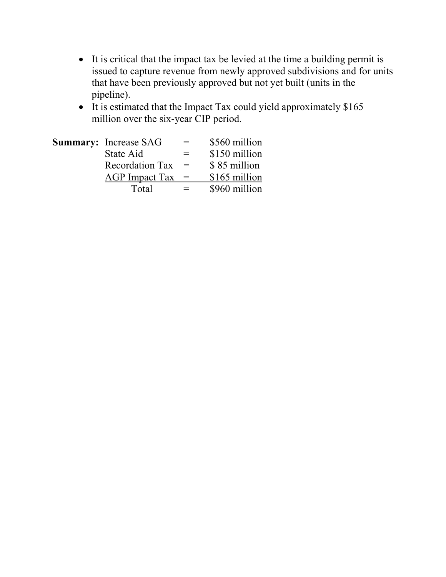- It is critical that the impact tax be levied at the time a building permit is issued to capture revenue from newly approved subdivisions and for units that have been previously approved but not yet built (units in the pipeline).
- It is estimated that the Impact Tax could yield approximately \$165 million over the six-year CIP period.

| <b>Summary:</b> Increase SAG | $=$ | \$560 million |
|------------------------------|-----|---------------|
| State Aid                    | $=$ | \$150 million |
| <b>Recordation Tax</b>       | $=$ | \$85 million  |
| AGP Impact Tax               | $=$ | \$165 million |
| Total                        | $=$ | \$960 million |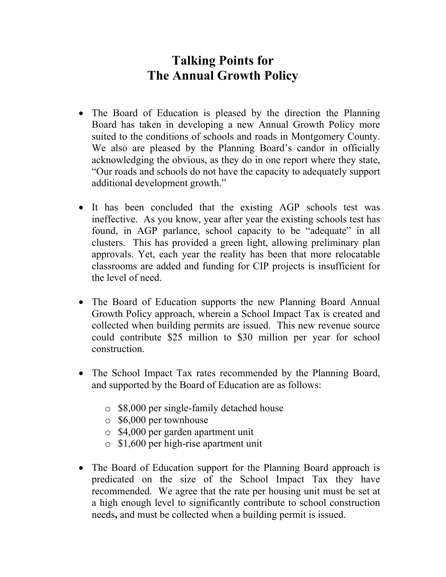## **Talking Points for The Annual Growth Policy**

- The Board of Education is pleased by the direction the Planning Board has taken in developing a new Annual Growth Policy more suited to the conditions of schools and roads in Montgomery County. We also are pleased by the Planning Board's candor in officially acknowledging the obvious, as they do in one report where they state, "Our roads and schools do not have the capacity to adequately support additional development growth."
- It has been concluded that the existing AGP schools test was ineffective. As you know, year after year the existing schools test has found, in AGP parlance, school capacity to be "adequate" in all clusters. This has provided a green light, allowing preliminary plan approvals. Yet, each year the reality has been that more relocatable classrooms are added and funding for CIP projects is insufficient for the level of need.
- The Board of Education supports the new Planning Board Annual Growth Policy approach, wherein a School Impact Tax is created and collected when building permits are issued. This new revenue source could contribute \$25 million to \$30 million per year for school construction.
- The School Impact Tax rates recommended by the Planning Board, and supported by the Board of Education are as follows:
	- o \$8,000 per single-family detached house
	- o \$6,000 per townhouse
	- o \$4,000 per garden apartment unit
	- o \$1,600 per high-rise apartment unit
- The Board of Education support for the Planning Board approach is predicated on the size of the School Impact Tax they have recommended. We agree that the rate per housing unit must be set at a high enough level to significantly contribute to school construction needs**,** and must be collected when a building permit is issued.